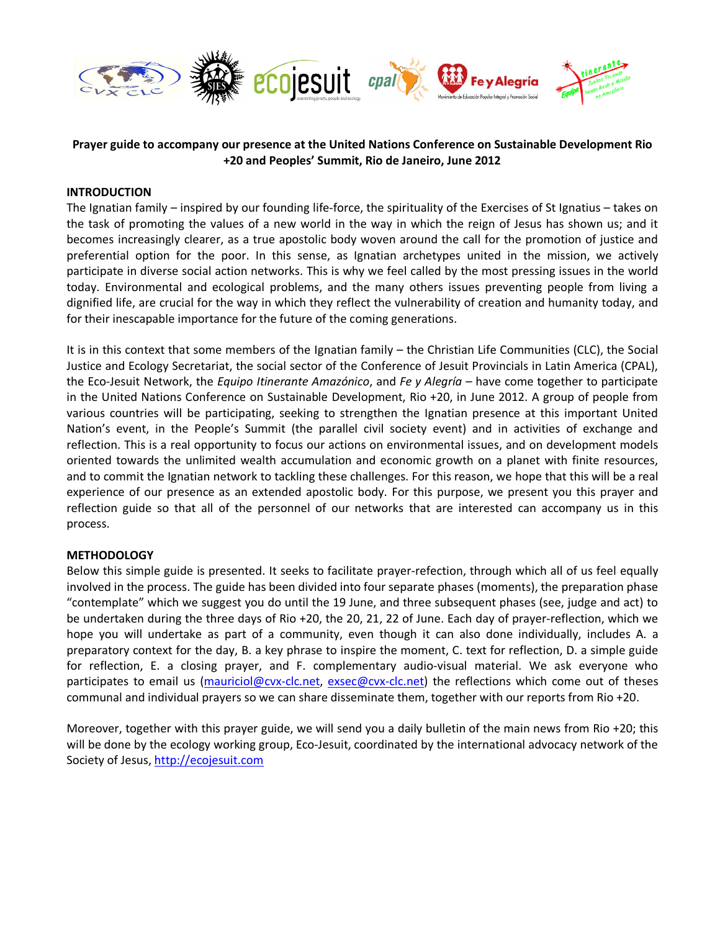

# **Prayer guide to accompany our presence at the United Nations Conference on Sustainable Development Rio +20 and Peoples' Summit, Rio de Janeiro, June 2012**

#### **INTRODUCTION**

The Ignatian family – inspired by our founding life-force, the spirituality of the Exercises of St Ignatius – takes on the task of promoting the values of a new world in the way in which the reign of Jesus has shown us; and it becomes increasingly clearer, as a true apostolic body woven around the call for the promotion of justice and preferential option for the poor. In this sense, as Ignatian archetypes united in the mission, we actively participate in diverse social action networks. This is why we feel called by the most pressing issues in the world today. Environmental and ecological problems, and the many others issues preventing people from living a dignified life, are crucial for the way in which they reflect the vulnerability of creation and humanity today, and for their inescapable importance for the future of the coming generations.

It is in this context that some members of the Ignatian family – the Christian Life Communities (CLC), the Social Justice and Ecology Secretariat, the social sector of the Conference of Jesuit Provincials in Latin America (CPAL), the Eco-Jesuit Network, the *Equipo Itinerante Amazónico*, and *Fe y Alegría* – have come together to participate in the United Nations Conference on Sustainable Development, Rio +20, in June 2012. A group of people from various countries will be participating, seeking to strengthen the Ignatian presence at this important United Nation's event, in the People's Summit (the parallel civil society event) and in activities of exchange and reflection. This is a real opportunity to focus our actions on environmental issues, and on development models oriented towards the unlimited wealth accumulation and economic growth on a planet with finite resources, and to commit the Ignatian network to tackling these challenges. For this reason, we hope that this will be a real experience of our presence as an extended apostolic body. For this purpose, we present you this prayer and reflection guide so that all of the personnel of our networks that are interested can accompany us in this process.

#### **METHODOLOGY**

Below this simple guide is presented. It seeks to facilitate prayer-refection, through which all of us feel equally involved in the process. The guide has been divided into four separate phases (moments), the preparation phase "contemplate" which we suggest you do until the 19 June, and three subsequent phases (see, judge and act) to be undertaken during the three days of Rio +20, the 20, 21, 22 of June. Each day of prayer-reflection, which we hope you will undertake as part of a community, even though it can also done individually, includes A. a preparatory context for the day, B. a key phrase to inspire the moment, C. text for reflection, D. a simple guide for reflection, E. a closing prayer, and F. complementary audio-visual material. We ask everyone who participates to email us (mauriciol@cvx-clc.net, exsec@cvx-clc.net) the reflections which come out of theses communal and individual prayers so we can share disseminate them, together with our reports from Rio +20.

Moreover, together with this prayer guide, we will send you a daily bulletin of the main news from Rio +20; this will be done by the ecology working group, Eco-Jesuit, coordinated by the international advocacy network of the Society of Jesus, http://ecojesuit.com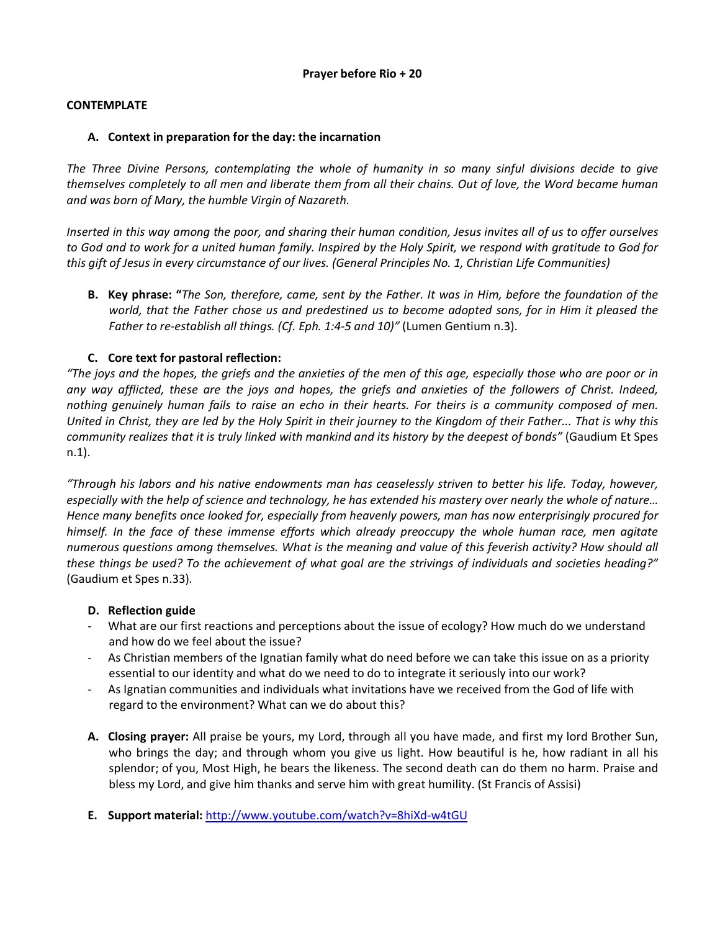### **CONTEMPLATE**

#### **A. Context in preparation for the day: the incarnation**

*The Three Divine Persons, contemplating the whole of humanity in so many sinful divisions decide to give themselves completely to all men and liberate them from all their chains. Out of love, the Word became human and was born of Mary, the humble Virgin of Nazareth.*

*Inserted in this way among the poor, and sharing their human condition, Jesus invites all of us to offer ourselves to God and to work for a united human family. Inspired by the Holy Spirit, we respond with gratitude to God for this gift of Jesus in every circumstance of our lives. (General Principles No. 1, Christian Life Communities)*

**B. Key phrase: "***The Son, therefore, came, sent by the Father. It was in Him, before the foundation of the world, that the Father chose us and predestined us to become adopted sons, for in Him it pleased the Father to re-establish all things. (Cf. Eph. 1:4-5 and 10)"* (Lumen Gentium n.3).

## **C. Core text for pastoral reflection:**

*"The joys and the hopes, the griefs and the anxieties of the men of this age, especially those who are poor or in any way afflicted, these are the joys and hopes, the griefs and anxieties of the followers of Christ. Indeed, nothing genuinely human fails to raise an echo in their hearts. For theirs is a community composed of men. United in Christ, they are led by the Holy Spirit in their journey to the Kingdom of their Father... That is why this community realizes that it is truly linked with mankind and its history by the deepest of bonds"* (Gaudium Et Spes n.1).

*"Through his labors and his native endowments man has ceaselessly striven to better his life. Today, however, especially with the help of science and technology, he has extended his mastery over nearly the whole of nature… Hence many benefits once looked for, especially from heavenly powers, man has now enterprisingly procured for himself. In the face of these immense efforts which already preoccupy the whole human race, men agitate numerous questions among themselves. What is the meaning and value of this feverish activity? How should all these things be used? To the achievement of what goal are the strivings of individuals and societies heading?"* (Gaudium et Spes n.33)*.*

#### **D. Reflection guide**

- What are our first reactions and perceptions about the issue of ecology? How much do we understand and how do we feel about the issue?
- As Christian members of the Ignatian family what do need before we can take this issue on as a priority essential to our identity and what do we need to do to integrate it seriously into our work?
- As Ignatian communities and individuals what invitations have we received from the God of life with regard to the environment? What can we do about this?
- **A. Closing prayer:** All praise be yours, my Lord, through all you have made, and first my lord Brother Sun, who brings the day; and through whom you give us light. How beautiful is he, how radiant in all his splendor; of you, Most High, he bears the likeness. The second death can do them no harm. Praise and bless my Lord, and give him thanks and serve him with great humility. (St Francis of Assisi)
- **E. Support material:** http://www.youtube.com/watch?v=8hiXd-w4tGU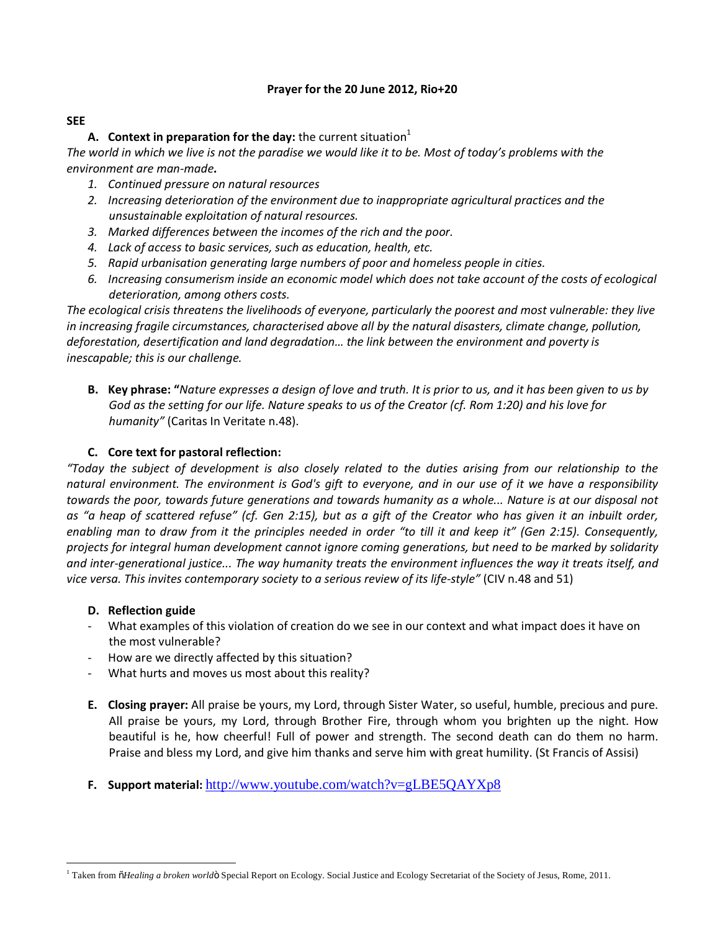# **Prayer for the 20 June 2012, Rio+20**

### **SEE**

# **A.** Context in preparation for the day: the current situation<sup>1</sup>

*The world in which we live is not the paradise we would like it to be. Most of today's problems with the environment are man-made.*

- *1. Continued pressure on natural resources*
- *2. Increasing deterioration of the environment due to inappropriate agricultural practices and the unsustainable exploitation of natural resources.*
- *3. Marked differences between the incomes of the rich and the poor.*
- *4. Lack of access to basic services, such as education, health, etc.*
- *5. Rapid urbanisation generating large numbers of poor and homeless people in cities.*
- *6. Increasing consumerism inside an economic model which does not take account of the costs of ecological deterioration, among others costs.*

*The ecological crisis threatens the livelihoods of everyone, particularly the poorest and most vulnerable: they live in increasing fragile circumstances, characterised above all by the natural disasters, climate change, pollution, deforestation, desertification and land degradation… the link between the environment and poverty is inescapable; this is our challenge.*

**B. Key phrase: "***Nature expresses a design of love and truth. It is prior to us, and it has been given to us by God as the setting for our life. Nature speaks to us of the Creator (cf. Rom 1:20) and his love for humanity"* (Caritas In Veritate n.48).

# **C. Core text for pastoral reflection:**

*"Today the subject of development is also closely related to the duties arising from our relationship to the natural environment. The environment is God's gift to everyone, and in our use of it we have a responsibility towards the poor, towards future generations and towards humanity as a whole... Nature is at our disposal not as "a heap of scattered refuse" (cf. Gen 2:15), but as a gift of the Creator who has given it an inbuilt order, enabling man to draw from it the principles needed in order "to till it and keep it" (Gen 2:15). Consequently, projects for integral human development cannot ignore coming generations, but need to be marked by solidarity and inter-generational justice... The way humanity treats the environment influences the way it treats itself, and vice versa. This invites contemporary society to a serious review of its life-style"* (CIV n.48 and 51)

## **D. Reflection guide**

- What examples of this violation of creation do we see in our context and what impact does it have on the most vulnerable?
- How are we directly affected by this situation?
- What hurts and moves us most about this reality?
- **E. Closing prayer:** All praise be yours, my Lord, through Sister Water, so useful, humble, precious and pure. All praise be yours, my Lord, through Brother Fire, through whom you brighten up the night. How beautiful is he, how cheerful! Full of power and strength. The second death can do them no harm. Praise and bless my Lord, and give him thanks and serve him with great humility. (St Francis of Assisi)
- **F. Support material:** http://www.youtube.com/watch?v=gLBE5QAYXp8

<sup>&</sup>lt;sup>1</sup> Taken from  $\tilde{o}$ *Healing a broken worldo* Special Report on Ecology. Social Justice and Ecology Secretariat of the Society of Jesus, Rome, 2011.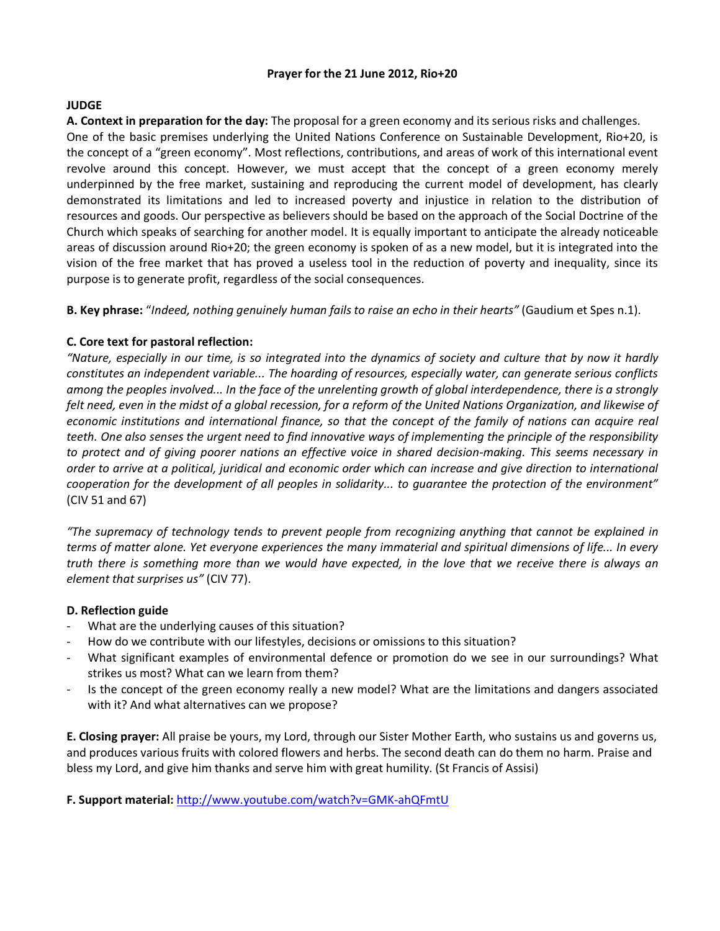#### **Prayer for the 21 June 2012, Rio+20**

## **JUDGE**

**A. Context in preparation for the day:** The proposal for a green economy and its serious risks and challenges. One of the basic premises underlying the United Nations Conference on Sustainable Development, Rio+20, is the concept of a "green economy". Most reflections, contributions, and areas of work of this international event revolve around this concept. However, we must accept that the concept of a green economy merely underpinned by the free market, sustaining and reproducing the current model of development, has clearly demonstrated its limitations and led to increased poverty and injustice in relation to the distribution of resources and goods. Our perspective as believers should be based on the approach of the Social Doctrine of the Church which speaks of searching for another model. It is equally important to anticipate the already noticeable areas of discussion around Rio+20; the green economy is spoken of as a new model, but it is integrated into the vision of the free market that has proved a useless tool in the reduction of poverty and inequality, since its purpose is to generate profit, regardless of the social consequences.

**B. Key phrase:** "*Indeed, nothing genuinely human fails to raise an echo in their hearts"* (Gaudium et Spes n.1).

# **C. Core text for pastoral reflection:**

*"Nature, especially in our time, is so integrated into the dynamics of society and culture that by now it hardly constitutes an independent variable... The hoarding of resources, especially water, can generate serious conflicts among the peoples involved... In the face of the unrelenting growth of global interdependence, there is a strongly felt need, even in the midst of a global recession, for a reform of the United Nations Organization, and likewise of economic institutions and international finance, so that the concept of the family of nations can acquire real teeth. One also senses the urgent need to find innovative ways of implementing the principle of the responsibility to protect and of giving poorer nations an effective voice in shared decision-making. This seems necessary in order to arrive at a political, juridical and economic order which can increase and give direction to international cooperation for the development of all peoples in solidarity... to guarantee the protection of the environment"* (CIV 51 and 67)

*"The supremacy of technology tends to prevent people from recognizing anything that cannot be explained in terms of matter alone. Yet everyone experiences the many immaterial and spiritual dimensions of life... In every truth there is something more than we would have expected, in the love that we receive there is always an element that surprises us"* (CIV 77).

## **D. Reflection guide**

- What are the underlying causes of this situation?
- How do we contribute with our lifestyles, decisions or omissions to this situation?
- What significant examples of environmental defence or promotion do we see in our surroundings? What strikes us most? What can we learn from them?
- Is the concept of the green economy really a new model? What are the limitations and dangers associated with it? And what alternatives can we propose?

**E. Closing prayer:** All praise be yours, my Lord, through our Sister Mother Earth, who sustains us and governs us, and produces various fruits with colored flowers and herbs. The second death can do them no harm. Praise and bless my Lord, and give him thanks and serve him with great humility. (St Francis of Assisi)

**F. Support material:** http://www.youtube.com/watch?v=GMK-ahQFmtU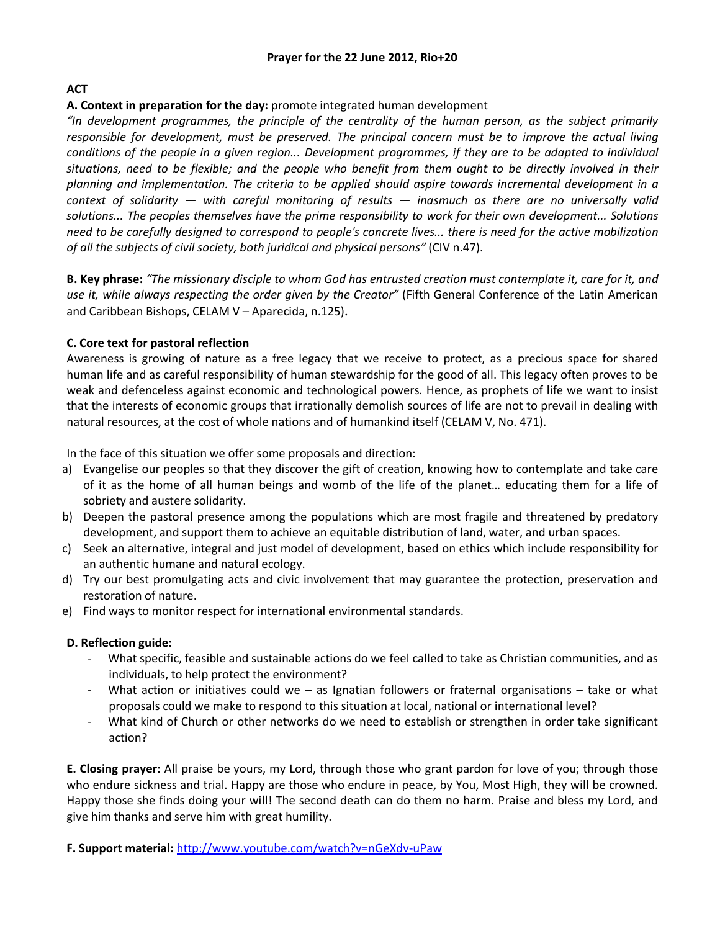# **ACT**

## **A. Context in preparation for the day:** promote integrated human development

*"In development programmes, the principle of the centrality of the human person, as the subject primarily responsible for development, must be preserved. The principal concern must be to improve the actual living conditions of the people in a given region... Development programmes, if they are to be adapted to individual situations, need to be flexible; and the people who benefit from them ought to be directly involved in their planning and implementation. The criteria to be applied should aspire towards incremental development in a context of solidarity — with careful monitoring of results — inasmuch as there are no universally valid solutions... The peoples themselves have the prime responsibility to work for their own development... Solutions need to be carefully designed to correspond to people's concrete lives... there is need for the active mobilization of all the subjects of civil society, both juridical and physical persons"* (CIV n.47).

**B. Key phrase:** *"The missionary disciple to whom God has entrusted creation must contemplate it, care for it, and use it, while always respecting the order given by the Creator"* (Fifth General Conference of the Latin American and Caribbean Bishops, CELAM V – Aparecida, n.125).

# **C. Core text for pastoral reflection**

Awareness is growing of nature as a free legacy that we receive to protect, as a precious space for shared human life and as careful responsibility of human stewardship for the good of all. This legacy often proves to be weak and defenceless against economic and technological powers. Hence, as prophets of life we want to insist that the interests of economic groups that irrationally demolish sources of life are not to prevail in dealing with natural resources, at the cost of whole nations and of humankind itself (CELAM V, No. 471).

In the face of this situation we offer some proposals and direction:

- a) Evangelise our peoples so that they discover the gift of creation, knowing how to contemplate and take care of it as the home of all human beings and womb of the life of the planet… educating them for a life of sobriety and austere solidarity.
- b) Deepen the pastoral presence among the populations which are most fragile and threatened by predatory development, and support them to achieve an equitable distribution of land, water, and urban spaces.
- c) Seek an alternative, integral and just model of development, based on ethics which include responsibility for an authentic humane and natural ecology.
- d) Try our best promulgating acts and civic involvement that may guarantee the protection, preservation and restoration of nature.
- e) Find ways to monitor respect for international environmental standards.

## **D. Reflection guide:**

- What specific, feasible and sustainable actions do we feel called to take as Christian communities, and as individuals, to help protect the environment?
- What action or initiatives could we as Ignatian followers or fraternal organisations take or what proposals could we make to respond to this situation at local, national or international level?
- What kind of Church or other networks do we need to establish or strengthen in order take significant action?

**E. Closing prayer:** All praise be yours, my Lord, through those who grant pardon for love of you; through those who endure sickness and trial. Happy are those who endure in peace, by You, Most High, they will be crowned. Happy those she finds doing your will! The second death can do them no harm. Praise and bless my Lord, and give him thanks and serve him with great humility.

## **F. Support material:** http://www.youtube.com/watch?v=nGeXdv-uPaw